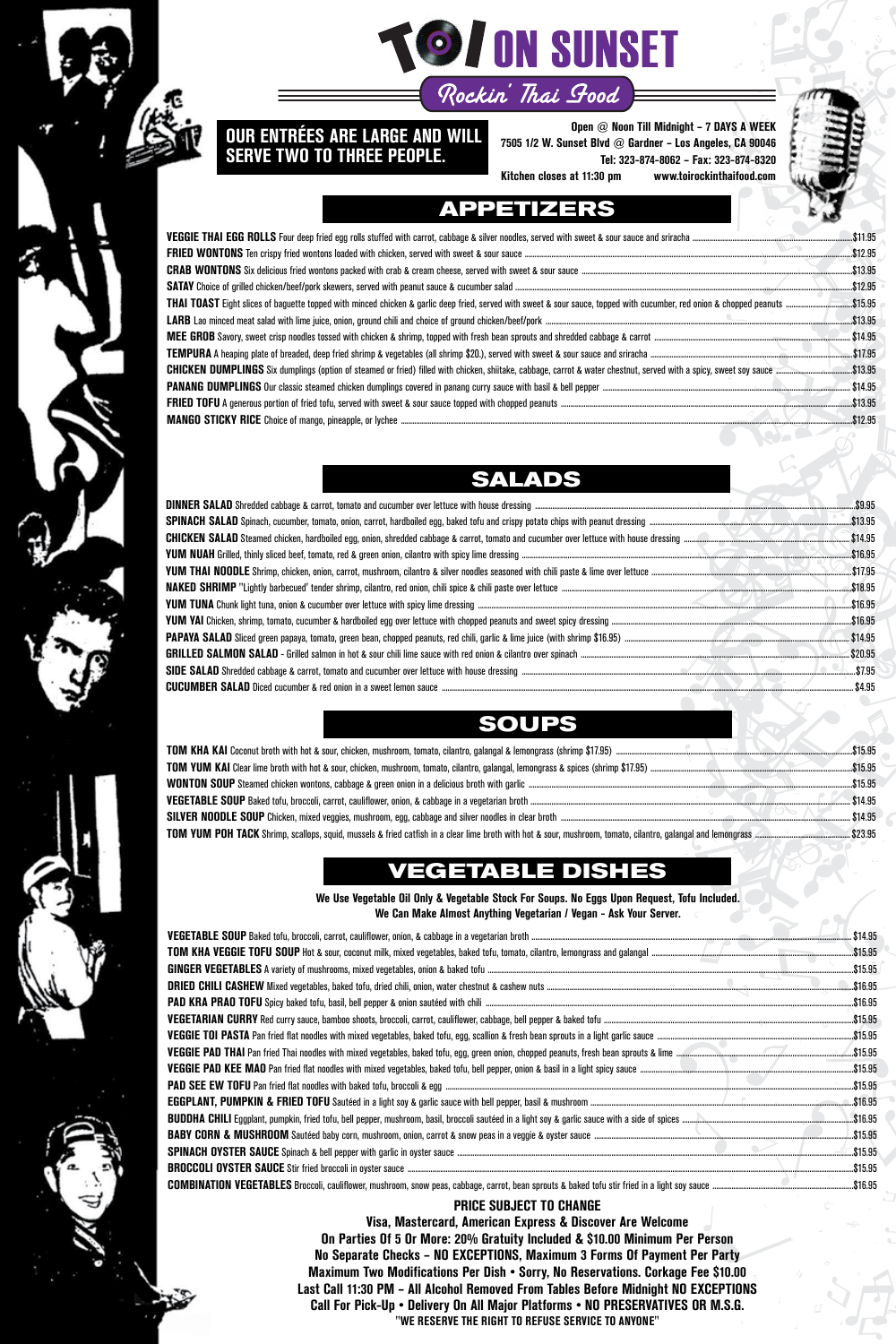

# **TO / ON SUNSET** Rockin' Thai Good

**Open @ Noon Till Midnight – 7 DAYS A WEEK 7505 1/2 W. Sunset Blvd @ Gardner – Los Angeles, CA 90046 Tel: 323-874-8062 – Fax: 323-874-8320 Kitchen closes at 11:30 pm www.toirockinthaifood.com**



#### **OUR ENTRÉES ARE LARGE AND WILL SERVE TWO TO THREE PEOPLE.**

#### **PRICE SUBJECT TO CHANGE**

**Visa, Mastercard, American Express & Discover Are Welcome On Parties Of 5 Or More: 20% Gratuity Included & \$10.00 Minimum Per Person No Separate Checks – NO EXCEPTIONS, Maximum 3 Forms Of Payment Per Party Maximum Two Modifications Per Dish • Sorry, No Reservations. Corkage Fee \$10.00 Last Call 11:30 PM – All Alcohol Removed From Tables Before Midnight NO EXCEPTIONS Call For Pick-Up • Delivery On All Major Platforms • NO PRESERVATIVES OR M.S.G. "WE RESERVE THE RIGHT TO REFUSE SERVICE TO ANYONE"**

|                                                                                                                                                                                                        | $$ \$12.95  |
|--------------------------------------------------------------------------------------------------------------------------------------------------------------------------------------------------------|-------------|
|                                                                                                                                                                                                        | \$13.95     |
|                                                                                                                                                                                                        | \$12.95     |
| THAI TOAST Eight slices of baguette topped with minced chicken & garlic deep fried, served with sweet & sour sauce, topped with cucumber, red onion & chopped peanuts ……………………………………………\$15.95         |             |
|                                                                                                                                                                                                        | $$ \$13.95  |
|                                                                                                                                                                                                        | \$14.95     |
|                                                                                                                                                                                                        |             |
| <b>CHICKEN DUMPLINGS</b> Six dumplings (option of steamed or fried) filled with chicken, shiitake, cabbage, carrot & water chestnut, served with a spicy, sweet soy sauce ………………………………………………………\$13.95 |             |
|                                                                                                                                                                                                        | $.$ \$14.95 |
|                                                                                                                                                                                                        |             |
|                                                                                                                                                                                                        |             |

# **APPETIZERS**

| $.$ \$16.95 |
|-------------|
|             |
|             |
|             |
|             |
|             |
|             |
|             |
|             |

### **SALADS**

| \$15.95           |
|-------------------|
| .\$15.95          |
| $\text{}$ \$15.95 |
| \$14.95           |
| . \$14.95         |
|                   |

# **VEGETABLE DISH**

## **SOUPS**



**We Use Vegetable Oil Only & Vegetable Stock For Soups. No Eggs Upon Request, Tofu Included. We Can Make Almost Anything Vegetarian / Vegan - Ask Your Server.**